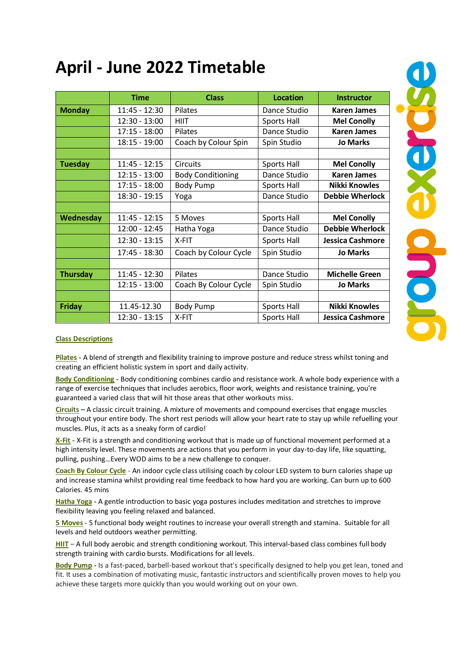# **April - June 2022 Timetable**

|                 | <b>Time</b>     | <b>Class</b>             | <b>Location</b> | <b>Instructor</b>       |
|-----------------|-----------------|--------------------------|-----------------|-------------------------|
| <b>Monday</b>   | 11:45 - 12:30   | <b>Pilates</b>           | Dance Studio    | <b>Karen James</b>      |
|                 | $12:30 - 13:00$ | <b>HIIT</b>              | Sports Hall     | <b>Mel Conolly</b>      |
|                 | $17:15 - 18:00$ | Pilates                  | Dance Studio    | <b>Karen James</b>      |
|                 | $18:15 - 19:00$ | Coach by Colour Spin     | Spin Studio     | <b>Jo Marks</b>         |
|                 |                 |                          |                 |                         |
| <b>Tuesday</b>  | $11:45 - 12:15$ | <b>Circuits</b>          | Sports Hall     | <b>Mel Conolly</b>      |
|                 | $12:15 - 13:00$ | <b>Body Conditioning</b> | Dance Studio    | <b>Karen James</b>      |
|                 | $17:15 - 18:00$ | <b>Body Pump</b>         | Sports Hall     | <b>Nikki Knowles</b>    |
|                 | 18:30 - 19:15   | Yoga                     | Dance Studio    | <b>Debbie Wherlock</b>  |
|                 |                 |                          |                 |                         |
| Wednesday       | $11:45 - 12:15$ | 5 Moves                  | Sports Hall     | <b>Mel Conolly</b>      |
|                 | 12:00 - 12:45   | Hatha Yoga               | Dance Studio    | <b>Debbie Wherlock</b>  |
|                 | $12:30 - 13:15$ | X-FIT                    | Sports Hall     | <b>Jessica Cashmore</b> |
|                 | 17:45 - 18:30   | Coach by Colour Cycle    | Spin Studio     | <b>Jo Marks</b>         |
|                 |                 |                          |                 |                         |
| <b>Thursday</b> | 11:45 - 12:30   | Pilates                  | Dance Studio    | <b>Michelle Green</b>   |
|                 | $12:15 - 13:00$ | Coach By Colour Cycle    | Spin Studio     | <b>Jo Marks</b>         |
|                 |                 |                          |                 |                         |
| Friday          | 11.45-12.30     | <b>Body Pump</b>         | Sports Hall     | <b>Nikki Knowles</b>    |
|                 | $12:30 - 13:15$ | X-FIT                    | Sports Hall     | <b>Jessica Cashmore</b> |

#### **Class Descriptions**

**Pilates -** A blend of strength and flexibility training to improve posture and reduce stress whilst toning and creating an efficient holistic system in sport and daily activity.

**Body Conditioning -** Body conditioning combines cardio and resistance work. A whole body experience with a range of exercise techniques that includes aerobics, floor work, weights and resistance training, you're guaranteed a varied class that will hit those areas that other workouts miss.

**Circuits –** A classic circuit training. A mixture of movements and compound exercises that engage muscles throughout your entire body. The short rest periods will allow your heart rate to stay up while refuelling your muscles. Plus, it acts as a sneaky form of cardio!

**X-Fit -** X-Fit is a strength and conditioning workout that is made up of functional movement performed at a high intensity level. These movements are actions that you perform in your day-to-day life, like squatting, pulling, pushing…Every WOD aims to be a new challenge to conquer.

**Coach By Colour Cycle** - An indoor cycle class utilising coach by colour LED system to burn calories shape up and increase stamina whilst providing real time feedback to how hard you are working. Can burn up to 600 Calories. 45 mins

**Hatha Yoga -** A gentle introduction to basic yoga postures includes meditation and stretches to improve flexibility leaving you feeling relaxed and balanced.

**5 Moves -** 5 functional body weight routines to increase your overall strength and stamina. Suitable for all levels and held outdoors weather permitting.

**HIIT** – A full body aerobic and strength conditioning workout. This interval-based class combines full body strength training with cardio bursts. Modifications for all levels.

**Body Pump -** Is a fast-paced, barbell-based workout that's specifically designed to help you get lean, toned and fit. It uses a combination of motivating music, fantastic instructors and scientifically proven moves to help you achieve these targets more quickly than you would working out on your own.